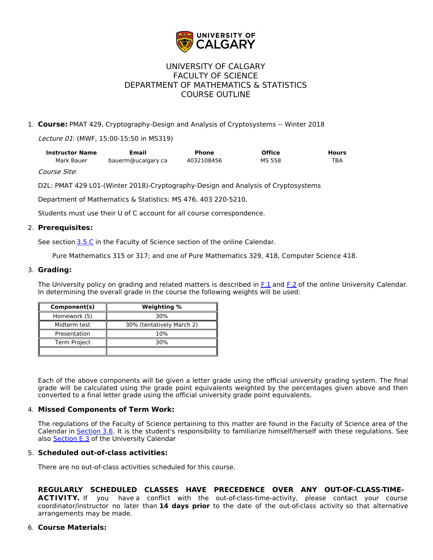

# UNIVERSITY OF CALGARY FACULTY OF SCIENCE DEPARTMENT OF MATHEMATICS & STATISTICS COURSE OUTLINE

## 1. **Course:** PMAT 429, Cryptography-Design and Analysis of Cryptosystems -- Winter 2018

Lecture 01: (MWF, 15:00-15:50 in MS319)

| <b>Instructor Name</b> | Email              | Phone      | <b>Office</b> | Hours      |
|------------------------|--------------------|------------|---------------|------------|
| Mark Bauer             | bauerm@ucalgary.ca | 4032108456 | MS 558        | <b>TBA</b> |

Course Site:

D2L: PMAT 429 L01-(Winter 2018)-Cryptography-Design and Analysis of Cryptosystems

Department of Mathematics & Statistics: MS 476, 403 220-5210,

Students must use their U of C account for all course correspondence.

### 2. **Prerequisites:**

See section [3.5.C](http://www.ucalgary.ca/pubs/calendar/current/sc-3-5.html) in the Faculty of Science section of the online Calendar.

Pure Mathematics 315 or 317; and one of Pure Mathematics 329, 418, Computer Science 418.

#### 3. **Grading:**

The University policy on grading and related matters is described in [F.1](http://www.ucalgary.ca/pubs/calendar/current/f-1.html) and [F.2](http://www.ucalgary.ca/pubs/calendar/current/f-2.html) of the online University Calendar. In determining the overall grade in the course the following weights will be used:

| Component(s)        | Weighting %               |  |
|---------------------|---------------------------|--|
| Homework (5)        | 30%                       |  |
| Midterm test        | 30% (tentatively March 2) |  |
| Presentation        | 10%                       |  |
| <b>Term Project</b> | 30%                       |  |
|                     |                           |  |

Each of the above components will be given a letter grade using the official university grading system. The final grade will be calculated using the grade point equivalents weighted by the percentages given above and then converted to a final letter grade using the official university grade point equivalents.

#### 4. **Missed Components of Term Work:**

The regulations of the Faculty of Science pertaining to this matter are found in the Faculty of Science area of the Calendar in [Section](http://www.ucalgary.ca/pubs/calendar/current/sc-3-6.html) 3.6. It is the student's responsibility to familiarize himself/herself with these regulations. See also **[Section](http://www.ucalgary.ca/pubs/calendar/current/e-3.html) E.3** of the University Calendar

#### 5. **Scheduled out-of-class activities:**

There are no out-of-class activities scheduled for this course.

# **REGULARLY SCHEDULED CLASSES HAVE PRECEDENCE OVER ANY OUT-OF-CLASS-TIME-**

ACTIVITY. If you have a conflict with the out-of-class-time-activity, please contact your course coordinator/instructor no later than **14 days prior** to the date of the out-of-class activity so that alternative arrangements may be made.

#### 6. **Course Materials:**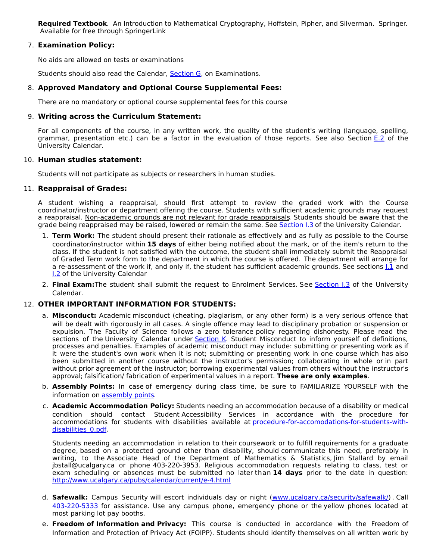**Required Textbook**. An Introduction to Mathematical Cryptography, Hoffstein, Pipher, and Silverman. Springer. Available for free through SpringerLink

#### 7. **Examination Policy:**

No aids are allowed on tests or examinations

Students should also read the Calendar, [Section](http://www.ucalgary.ca/pubs/calendar/current/g.html) G, on Examinations.

#### 8. **Approved Mandatory and Optional Course Supplemental Fees:**

There are no mandatory or optional course supplemental fees for this course

#### 9. **Writing across the Curriculum Statement:**

For all components of the course, in any written work, the quality of the student's writing (language, spelling, grammar, presentation etc.) can be a factor in the evaluation of those reports. See also Section [E.2](http://www.ucalgary.ca/pubs/calendar/current/e-2.html) of the University Calendar.

#### 10. **Human studies statement:**

Students will not participate as subjects or researchers in human studies.

#### 11. **Reappraisal of Grades:**

A student wishing a reappraisal, should first attempt to review the graded work with the Course coordinator/instructor or department offering the course. Students with sufficient academic grounds may request a reappraisal. Non-academic grounds are not relevant for grade reappraisals. Students should be aware that the grade being reappraised may be raised, lowered or remain the same. See [Section](http://www.ucalgary.ca/pubs/calendar/current/i-3.html) I.3 of the University Calendar.

- 1. **Term Work:** The student should present their rationale as effectively and as fully as possible to the Course coordinator/instructor within **15 days** of either being notified about the mark, or of the item's return to the class. If the student is not satisfied with the outcome, the student shall immediately submit the Reappraisal of Graded Term work form to the department in which the course is offered. The department will arrange for a re-assessment of the work if, and only if, the student has sufficient academic grounds. See sections 1.1 and **[I.2](http://www.ucalgary.ca/pubs/calendar/current/i-2.html)** of the University Calendar
- 2. **Final Exam:**The student shall submit the request to Enrolment Services. See [Section](http://www.ucalgary.ca/pubs/calendar/current/i-3.html) I.3 of the University Calendar.

#### 12. **OTHER IMPORTANT INFORMATION FOR STUDENTS:**

- a. **Misconduct:** Academic misconduct (cheating, plagiarism, or any other form) is a very serious offence that will be dealt with rigorously in all cases. A single offence may lead to disciplinary probation or suspension or expulsion. The Faculty of Science follows a zero tolerance policy regarding dishonesty. Please read the sections of the University Calendar under [Section](http://www.ucalgary.ca/pubs/calendar/current/k.html) K. Student Misconduct to inform yourself of definitions, processes and penalties. Examples of academic misconduct may include: submitting or presenting work as if it were the student's own work when it is not; submitting or presenting work in one course which has also been submitted in another course without the instructor's permission; collaborating in whole or in part without prior agreement of the instructor; borrowing experimental values from others without the instructor's approval; falsification/ fabrication of experimental values in a report. **These are only examples**.
- b. **Assembly Points:** In case of emergency during class time, be sure to FAMILIARIZE YOURSELF with the information on [assembly](http://www.ucalgary.ca/emergencyplan/assemblypoints) points.
- c. **Academic Accommodation Policy:** Students needing an accommodation because of a disability or medical condition should contact Student Accessibility Services in accordance with the procedure for accommodations for students with disabilities available at [procedure-for-accomodations-for-students-with](http://www.ucalgary.ca/policies/files/policies/procedure-for-accommodations-for-students-with-disabilities_0.pdf)disabilities\_0.pdf.

Students needing an accommodation in relation to their coursework or to fulfill requirements for a graduate degree, based on a protected ground other than disability, should communicate this need, preferably in writing, to the Associate Head of the Department of Mathematics & Statistics, Jim Stallard by email jbstall@ucalgary.ca or phone 403-220-3953. Religious accommodation requests relating to class, test or exam scheduling or absences must be submitted no later than **14 days** prior to the date in question: <http://www.ucalgary.ca/pubs/calendar/current/e-4.html>

- d. **Safewalk:** Campus Security will escort individuals day or night [\(www.ucalgary.ca/security/safewalk/](http://www.ucalgary.ca/security/safewalk/)) . Call [403-220-5333](tel:4032205333) for assistance. Use any campus phone, emergency phone or the yellow phones located at most parking lot pay booths.
- e. **Freedom of Information and Privacy:** This course is conducted in accordance with the Freedom of Information and Protection of Privacy Act (FOIPP). Students should identify themselves on all written work by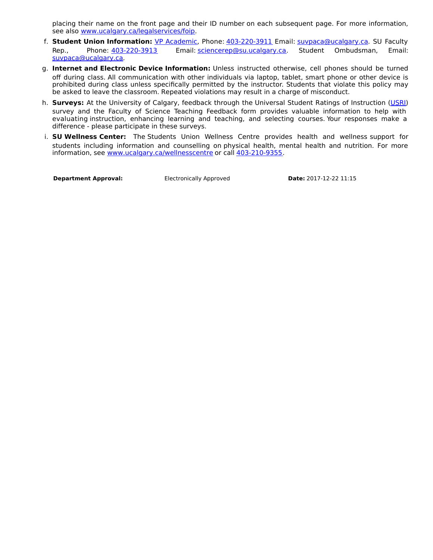placing their name on the front page and their ID number on each subsequent page. For more information, see also [www.ucalgary.ca/legalservices/foip](http://www.ucalgary.ca/legalservices/foip).

- f. **Student Union Information:** VP [Academic](http://www.su.ucalgary.ca/contact), Phone: [403-220-3911](tel:4032203911) Email: [suvpaca@ucalgary.ca](mailto:suvpaca@ucalgary.ca). SU Faculty Rep., Phone: [403-220-3913](tel:4032203913) Email: [sciencerep@su.ucalgary.ca](mailto:sciencerep@su.ucalgary.ca). Student Ombudsman, Email: [suvpaca@ucalgary.ca](mailto:suvpaca@ucalgary.ca).
- g. **Internet and Electronic Device Information:** Unless instructed otherwise, cell phones should be turned off during class. All communication with other individuals via laptop, tablet, smart phone or other device is prohibited during class unless specifically permitted by the instructor. Students that violate this policy may be asked to leave the classroom. Repeated violations may result in a charge of misconduct.
- h. **Surveys:** At the University of Calgary, feedback through the Universal Student Ratings of Instruction [\(USRI](http://www.ucalgary.ca/usri)) survey and the Faculty of Science Teaching Feedback form provides valuable information to help with evaluating instruction, enhancing learning and teaching, and selecting courses. Your responses make a difference - please participate in these surveys.
- i. **SU Wellness Center:** The Students Union Wellness Centre provides health and wellness support for students including information and counselling on physical health, mental health and nutrition. For more information, see [www.ucalgary.ca/wellnesscentre](http://www.ucalgary.ca/wellnesscentre) or call [403-210-9355](tel:4032109355).

**Department Approval:** Electronically Approved **Date:** 2017-12-22 11:15